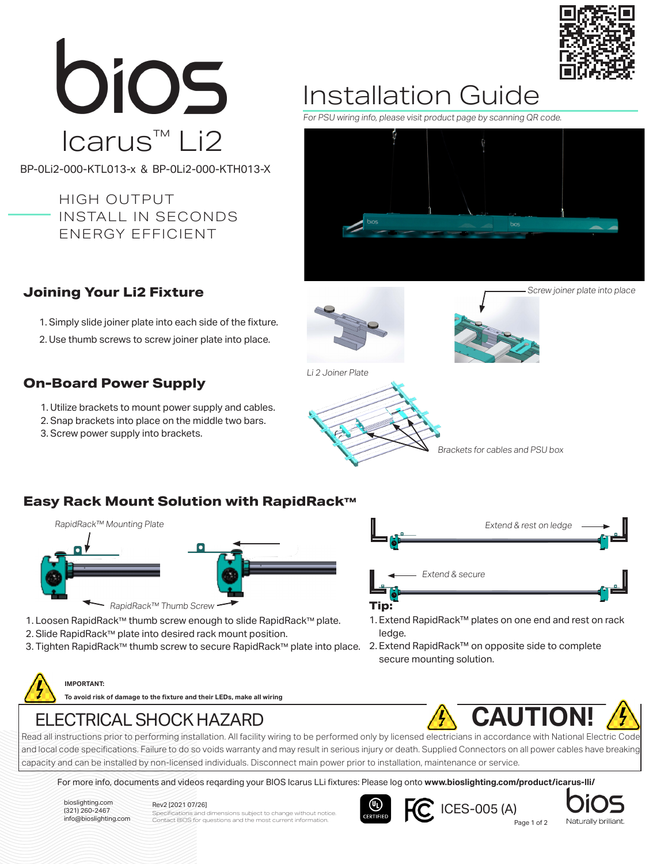

# bios Icarus™ Li2

BP-0Li2-000-KTL013-x & BP-0Li2-000-KTH013-X

HIGH OUTPUT INSTALL IN SECONDS ENERGY EFFICIENT

## Installation Guide

For PSU wiring info, please visit product page by scanning QR code.



## **Joining Your Li2 Fixture**

1. Simply slide joiner plate into each side of the fixture.

2. Use thumb screws to screw joiner plate into place.

## **On-Board Power Supply**

- 1. Utilize brackets to mount power supply and cables.
- 2. Snap brackets into place on the middle two bars.
- 3. Screw power supply into brackets.





Li 2 Joiner Plate



**Easy Rack Mount Solution with RapidRack™**



- 1. Loosen RapidRack™ thumb screw enough to slide RapidRack™ plate.
- 2. Slide RapidRack™ plate into desired rack mount position.
- 3. Tighten RapidRack™ thumb screw to secure RapidRack™ plate into place.

Extend & rest on ledge Extend & secure **Tip:**

- 1. Extend RapidRack™ plates on one end and rest on rack ledge.
- 2. Extend RapidRack™ on opposite side to complete secure mounting solution.

**IMPORTANT:**

**To avoid risk of damage to the fixture and their LEDs, make all wiring** 



ELECTRICAL SHOCK HAZARD<br>Read all instructions prior to performing installation. All facility wiring to be performed only by licensed electricians in accordance with National Electric Code and local code specifications. Failure to do so voids warranty and may result in serious injury or death. Supplied Connectors on all power cables have breaking capacity and can be installed by non-licensed individuals. Disconnect main power prior to installation, maintenance or service.

For more info, documents and videos reqarding your BIOS Icarus LLi fixtures: Please log onto **www.bioslighting.com/product/icarus-lli/**

bioslighting.com (321) 260-2467<br>info@bioslighting.com

## Rev2 [2021 07/26]

Info@bioslighting.com Contact BIOS for questions and the most current information. **Contact and Contact Page 1 of 2** pecifications and dimensions subject to change without notice